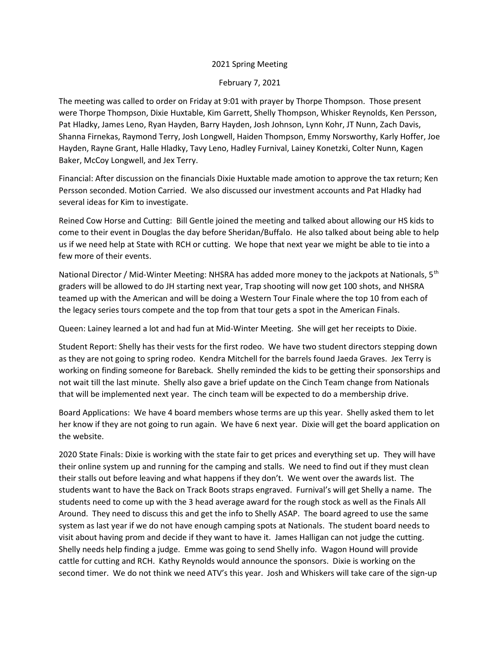## 2021 Spring Meeting

February 7, 2021

The meeting was called to order on Friday at 9:01 with prayer by Thorpe Thompson. Those present were Thorpe Thompson, Dixie Huxtable, Kim Garrett, Shelly Thompson, Whisker Reynolds, Ken Persson, Pat Hladky, James Leno, Ryan Hayden, Barry Hayden, Josh Johnson, Lynn Kohr, JT Nunn, Zach Davis, Shanna Firnekas, Raymond Terry, Josh Longwell, Haiden Thompson, Emmy Norsworthy, Karly Hoffer, Joe Hayden, Rayne Grant, Halle Hladky, Tavy Leno, Hadley Furnival, Lainey Konetzki, Colter Nunn, Kagen Baker, McCoy Longwell, and Jex Terry.

Financial: After discussion on the financials Dixie Huxtable made amotion to approve the tax return; Ken Persson seconded. Motion Carried. We also discussed our investment accounts and Pat Hladky had several ideas for Kim to investigate.

Reined Cow Horse and Cutting: Bill Gentle joined the meeting and talked about allowing our HS kids to come to their event in Douglas the day before Sheridan/Buffalo. He also talked about being able to help us if we need help at State with RCH or cutting. We hope that next year we might be able to tie into a few more of their events.

National Director / Mid-Winter Meeting: NHSRA has added more money to the jackpots at Nationals, 5<sup>th</sup> graders will be allowed to do JH starting next year, Trap shooting will now get 100 shots, and NHSRA teamed up with the American and will be doing a Western Tour Finale where the top 10 from each of the legacy series tours compete and the top from that tour gets a spot in the American Finals.

Queen: Lainey learned a lot and had fun at Mid-Winter Meeting. She will get her receipts to Dixie.

Student Report: Shelly has their vests for the first rodeo. We have two student directors stepping down as they are not going to spring rodeo. Kendra Mitchell for the barrels found Jaeda Graves. Jex Terry is working on finding someone for Bareback. Shelly reminded the kids to be getting their sponsorships and not wait till the last minute. Shelly also gave a brief update on the Cinch Team change from Nationals that will be implemented next year. The cinch team will be expected to do a membership drive.

Board Applications: We have 4 board members whose terms are up this year. Shelly asked them to let her know if they are not going to run again. We have 6 next year. Dixie will get the board application on the website.

2020 State Finals: Dixie is working with the state fair to get prices and everything set up. They will have their online system up and running for the camping and stalls. We need to find out if they must clean their stalls out before leaving and what happens if they don't. We went over the awards list. The students want to have the Back on Track Boots straps engraved. Furnival's will get Shelly a name. The students need to come up with the 3 head average award for the rough stock as well as the Finals All Around. They need to discuss this and get the info to Shelly ASAP. The board agreed to use the same system as last year if we do not have enough camping spots at Nationals. The student board needs to visit about having prom and decide if they want to have it. James Halligan can not judge the cutting. Shelly needs help finding a judge. Emme was going to send Shelly info. Wagon Hound will provide cattle for cutting and RCH. Kathy Reynolds would announce the sponsors. Dixie is working on the second timer. We do not think we need ATV's this year. Josh and Whiskers will take care of the sign-up